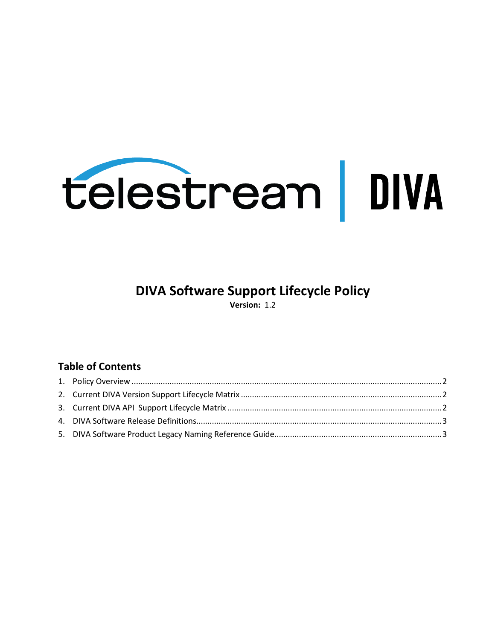

# **DIVA Software Support Lifecycle Policy**

**Version:** 1.2

### **Table of Contents**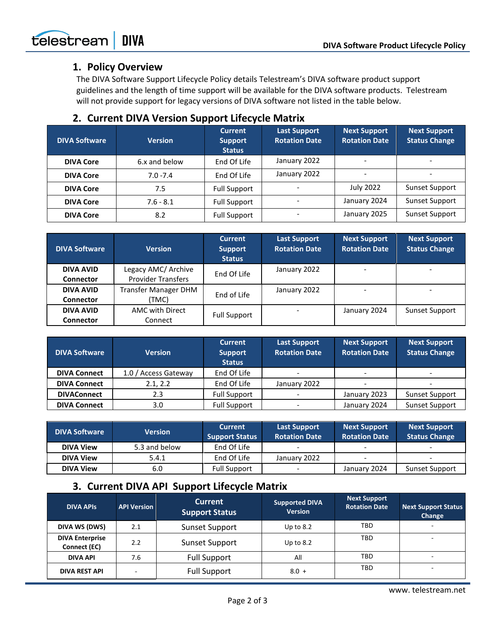#### **1. Policy Overview**

The DIVA Software Support Lifecycle Policy details Telestream's DIVA software product support guidelines and the length of time support will be available for the DIVA software products. Telestream will not provide support for legacy versions of DIVA software not listed in the table below.

#### **2. Current DIVA Version Support Lifecycle Matrix**

| <b>DIVA Software</b> | <b>Version</b> | <b>Current</b><br><b>Support</b><br><b>Status</b> | <b>Last Support</b><br><b>Rotation Date</b> | <b>Next Support</b><br><b>Rotation Date</b> | <b>Next Support</b><br><b>Status Change</b> |
|----------------------|----------------|---------------------------------------------------|---------------------------------------------|---------------------------------------------|---------------------------------------------|
| <b>DIVA Core</b>     | 6.x and below  | End Of Life                                       | January 2022                                |                                             |                                             |
| <b>DIVA Core</b>     | $7.0 - 7.4$    | End Of Life                                       | January 2022                                |                                             |                                             |
| <b>DIVA Core</b>     | 7.5            | <b>Full Support</b>                               |                                             | <b>July 2022</b>                            | Sunset Support                              |
| <b>DIVA Core</b>     | $7.6 - 8.1$    | <b>Full Support</b>                               |                                             | January 2024                                | Sunset Support                              |
| <b>DIVA Core</b>     | 8.2            | <b>Full Support</b>                               |                                             | January 2025                                | Sunset Support                              |

| <b>DIVA Software</b> | <b>Version</b>              | <b>Current</b><br><b>Support</b><br><b>Status</b> | <b>Last Support</b><br><b>Rotation Date</b> | <b>Next Support</b><br><b>Rotation Date</b> | <b>Next Support</b><br><b>Status Change</b> |
|----------------------|-----------------------------|---------------------------------------------------|---------------------------------------------|---------------------------------------------|---------------------------------------------|
| DIVA AVID            | Legacy AMC/ Archive         | End Of Life                                       | January 2022                                | $\overline{\phantom{a}}$                    | $\overline{\phantom{0}}$                    |
| <b>Connector</b>     | <b>Provider Transfers</b>   |                                                   |                                             |                                             |                                             |
| <b>DIVA AVID</b>     | <b>Transfer Manager DHM</b> |                                                   | January 2022                                |                                             | $\overline{\phantom{0}}$                    |
| <b>Connector</b>     | (TMC)                       | End of Life                                       |                                             |                                             |                                             |
| <b>DIVA AVID</b>     | AMC with Direct             |                                                   |                                             | January 2024                                | Sunset Support                              |
| <b>Connector</b>     | Connect                     | <b>Full Support</b>                               |                                             |                                             |                                             |

| <b>DIVA Software</b> | <b>Version</b>       | <b>Current</b><br><b>Support</b><br><b>Status</b> | <b>Last Support</b><br><b>Rotation Date</b> | <b>Next Support</b><br><b>Rotation Date</b> | <b>Next Support</b><br><b>Status Change</b> |
|----------------------|----------------------|---------------------------------------------------|---------------------------------------------|---------------------------------------------|---------------------------------------------|
| <b>DIVA Connect</b>  | 1.0 / Access Gateway | End Of Life                                       | $\overline{\phantom{a}}$                    | $\overline{\phantom{a}}$                    | $\overline{\phantom{0}}$                    |
| <b>DIVA Connect</b>  | 2.1, 2.2             | End Of Life                                       | January 2022                                |                                             | $\overline{\phantom{0}}$                    |
| <b>DIVAConnect</b>   | 2.3                  | <b>Full Support</b>                               |                                             | January 2023                                | Sunset Support                              |
| <b>DIVA Connect</b>  | 3.0                  | <b>Full Support</b>                               | $\overline{\phantom{a}}$                    | January 2024                                | Sunset Support                              |

| <b>DIVA Software</b><br>Version |               | <b>Current</b><br><b>Support Status</b> | <b>Last Support</b><br><b>Rotation Date</b> | <b>Next Support</b><br><b>Rotation Date</b> | Next Support<br><b>Status Change</b> |
|---------------------------------|---------------|-----------------------------------------|---------------------------------------------|---------------------------------------------|--------------------------------------|
| <b>DIVA View</b>                | 5.3 and below | End Of Life                             |                                             |                                             | $\overline{\phantom{0}}$             |
| <b>DIVA View</b>                | 5.4.1         | End Of Life                             | January 2022                                |                                             | $\overline{\phantom{0}}$             |
| <b>DIVA View</b>                | 6.0           | <b>Full Support</b>                     |                                             | January 2024                                | Sunset Support                       |

## **3. Current DIVA API Support Lifecycle Matrix**

| <b>DIVA APIS</b>                              | <b>API Version</b>    | <b>Current</b><br><b>Support Status</b> | <b>Supported DIVA</b><br><b>Version</b> | <b>Next Support</b><br><b>Rotation Date</b> | <b>Next Support Status</b><br>Change |
|-----------------------------------------------|-----------------------|-----------------------------------------|-----------------------------------------|---------------------------------------------|--------------------------------------|
| DIVA WS (DWS)                                 | 2.1                   | Sunset Support                          | Up to $8.2$                             | TBD                                         |                                      |
| <b>DIVA Enterprise</b><br>Connect (EC)        | Sunset Support<br>2.2 |                                         | Up to $8.2$                             | <b>TBD</b>                                  | $\overline{\phantom{0}}$             |
| <b>Full Support</b><br><b>DIVA API</b><br>7.6 |                       |                                         | All                                     | TBD                                         | -                                    |
| <b>DIVA REST API</b>                          |                       | <b>Full Support</b>                     | $8.0 +$                                 | TBD                                         | -                                    |